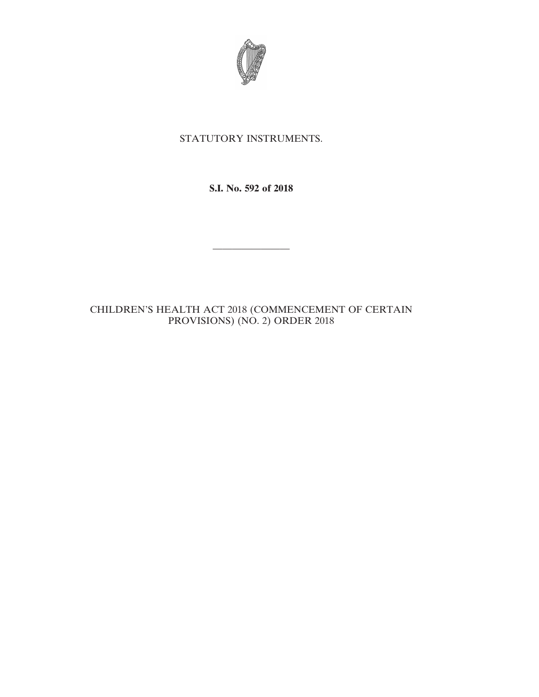

## STATUTORY INSTRUMENTS.

**S.I. No. 592 of 2018**

————————

## CHILDREN'S HEALTH ACT 2018 (COMMENCEMENT OF CERTAIN PROVISIONS) (NO. 2) ORDER 2018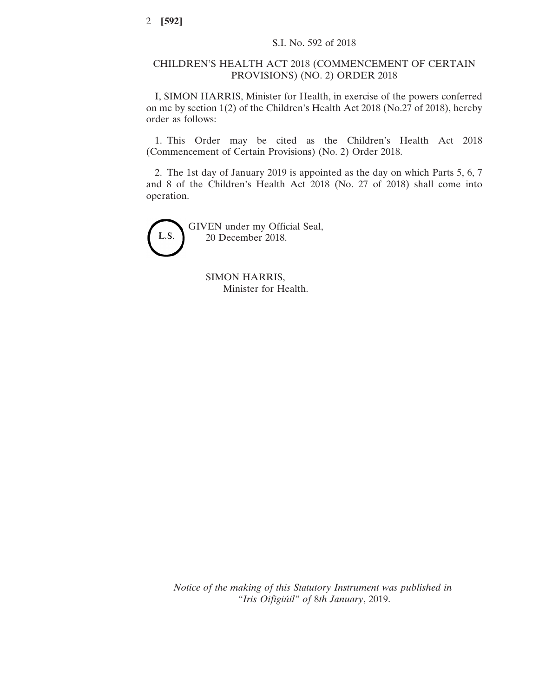## CHILDREN'S HEALTH ACT 2018 (COMMENCEMENT OF CERTAIN PROVISIONS) (NO. 2) ORDER 2018

I, SIMON HARRIS, Minister for Health, in exercise of the powers conferred on me by section 1(2) of the Children's Health Act 2018 (No.27 of 2018), hereby order as follows:

1. This Order may be cited as the Children's Health Act 2018 (Commencement of Certain Provisions) (No. 2) Order 2018.

2. The 1st day of January 2019 is appointed as the day on which Parts 5, 6, 7 and 8 of the Children's Health Act 2018 (No. 27 of 2018) shall come into operation.



GIVEN under my Official Seal, 20 December 2018.

> SIMON HARRIS, Minister for Health.

*Notice of the making of this Statutory Instrument was published in "Iris Oifigiúil" of* 8*th January*, 2019.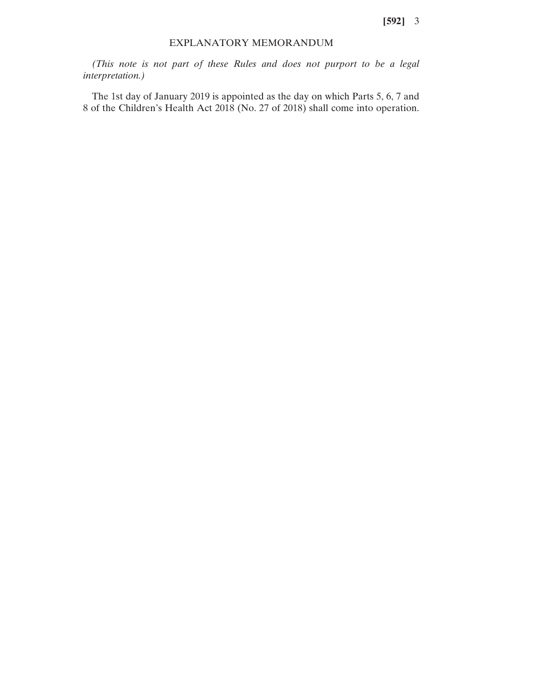## EXPLANATORY MEMORANDUM

*(This note is not part of these Rules and does not purport to be a legal interpretation.)*

The 1st day of January 2019 is appointed as the day on which Parts 5, 6, 7 and 8 of the Children's Health Act 2018 (No. 27 of 2018) shall come into operation.